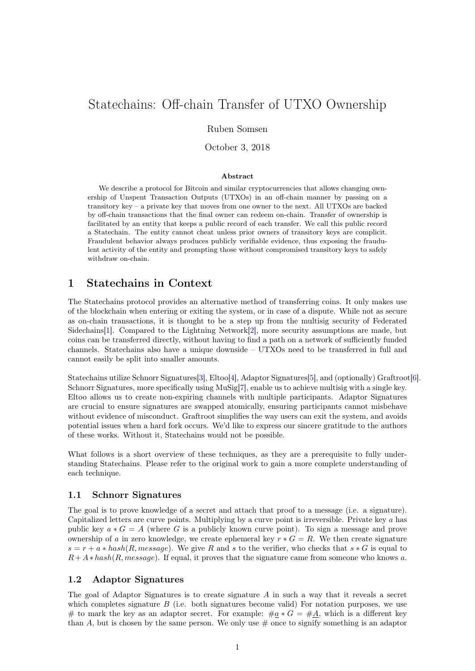# Statechains: Off-chain Transfer of UTXO Ownership

### Ruben Somsen

October 3, 2018

#### Abstract

We describe a protocol for Bitcoin and similar cryptocurrencies that allows changing ownership of Unspent Transaction Outputs (UTXOs) in an off-chain manner by passing on a transitory key – a private key that moves from one owner to the next. All UTXOs are backed by off-chain transactions that the final owner can redeem on-chain. Transfer of ownership is facilitated by an entity that keeps a public record of each transfer. We call this public record a Statechain. The entity cannot cheat unless prior owners of transitory keys are complicit. Fraudulent behavior always produces publicly verifiable evidence, thus exposing the fraudulent activity of the entity and prompting those without compromised transitory keys to safely withdraw on-chain.

# 1 Statechains in Context

The Statechains protocol provides an alternative method of transferring coins. It only makes use of the blockchain when entering or exiting the system, or in case of a dispute. While not as secure as on-chain transactions, it is thought to be a step up from the multisig security of Federated Sidechains[\[1\]](#page-5-0). Compared to the Lightning Network[\[2\]](#page-5-1), more security assumptions are made, but coins can be transferred directly, without having to find a path on a network of sufficiently funded channels. Statechains also have a unique downside – UTXOs need to be transferred in full and cannot easily be split into smaller amounts.

Statechains utilize Schnorr Signatures[\[3\]](#page-5-2), Eltoo[\[4\]](#page-5-3), Adaptor Signatures[\[5\]](#page-5-4), and (optionally) Graftroot[\[6\]](#page-5-5). Schnorr Signatures, more specifically using MuSig[\[7\]](#page-5-6), enable us to achieve multisig with a single key. Eltoo allows us to create non-expiring channels with multiple participants. Adaptor Signatures are crucial to ensure signatures are swapped atomically, ensuring participants cannot misbehave without evidence of misconduct. Graftroot simplifies the way users can exit the system, and avoids potential issues when a hard fork occurs. We'd like to express our sincere gratitude to the authors of these works. Without it, Statechains would not be possible.

What follows is a short overview of these techniques, as they are a prerequisite to fully understanding Statechains. Please refer to the original work to gain a more complete understanding of each technique.

### 1.1 Schnorr Signatures

The goal is to prove knowledge of a secret and attach that proof to a message (i.e. a signature). Capitalized letters are curve points. Multiplying by a curve point is irreversible. Private key a has public key  $a * G = A$  (where G is a publicly known curve point). To sign a message and prove ownership of a in zero knowledge, we create ephemeral key  $r * G = R$ . We then create signature  $s = r + a * hash(R, message)$ . We give R and s to the verifier, who checks that  $s * G$  is equal to  $R+A*hash(R, message)$ . If equal, it proves that the signature came from someone who knows a.

### 1.2 Adaptor Signatures

The goal of Adaptor Signatures is to create signature  $A$  in such a way that it reveals a secret which completes signature  $B$  (i.e. both signatures become valid) For notation purposes, we use # to mark the key as an adaptor secret. For example:  $\#a * G = \#A$ , which is a different key than A, but is chosen by the same person. We only use  $\#$  once to signify something is an adaptor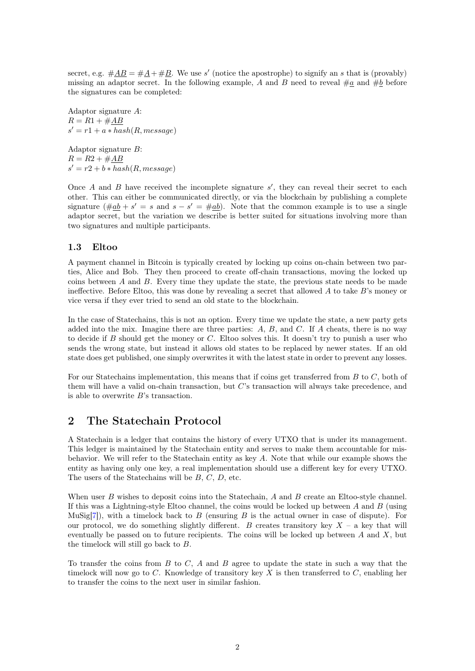secret, e.g.  $\#\underline{AB} = \#\underline{A} + \#\underline{B}$ . We use s' (notice the apostrophe) to signify an s that is (provably) missing an adaptor secret. In the following example, A and B need to reveal  $\#a$  and  $\#b$  before the signatures can be completed:

Adaptor signature A:  $R = R1 + \#AB$  $s' = r1 + a * hash(R, message)$ 

Adaptor signature B:  $R = R2 + #AB$  $s' = r2 + b * hash(R, message)$ 

Once  $A$  and  $B$  have received the incomplete signature  $s'$ , they can reveal their secret to each other. This can either be communicated directly, or via the blockchain by publishing a complete signature  $(\text{#a}b + s' = s \text{ and } s - s' = \text{#a}b)$ . Note that the common example is to use a single adaptor secret, but the variation we describe is better suited for situations involving more than two signatures and multiple participants.

#### 1.3 Eltoo

A payment channel in Bitcoin is typically created by locking up coins on-chain between two parties, Alice and Bob. They then proceed to create off-chain transactions, moving the locked up coins between A and B. Every time they update the state, the previous state needs to be made ineffective. Before Eltoo, this was done by revealing a secret that allowed  $A$  to take  $B$ 's money or vice versa if they ever tried to send an old state to the blockchain.

In the case of Statechains, this is not an option. Every time we update the state, a new party gets added into the mix. Imagine there are three parties:  $A, B$ , and  $C$ . If  $A$  cheats, there is no way to decide if  $B$  should get the money or  $C$ . Eltoo solves this. It doesn't try to punish a user who sends the wrong state, but instead it allows old states to be replaced by newer states. If an old state does get published, one simply overwrites it with the latest state in order to prevent any losses.

For our Statechains implementation, this means that if coins get transferred from B to C, both of them will have a valid on-chain transaction, but C's transaction will always take precedence, and is able to overwrite  $B$ 's transaction.

## 2 The Statechain Protocol

A Statechain is a ledger that contains the history of every UTXO that is under its management. This ledger is maintained by the Statechain entity and serves to make them accountable for misbehavior. We will refer to the Statechain entity as key A. Note that while our example shows the entity as having only one key, a real implementation should use a different key for every UTXO. The users of the Statechains will be  $B, C, D$ , etc.

When user B wishes to deposit coins into the Statechain, A and B create an Eltoo-style channel. If this was a Lightning-style Eltoo channel, the coins would be locked up between  $A$  and  $B$  (using MuSig[\[7\]](#page-5-6)), with a timelock back to B (ensuring B is the actual owner in case of dispute). For our protocol, we do something slightly different. B creates transitory key  $X - a$  key that will eventually be passed on to future recipients. The coins will be locked up between  $A$  and  $X$ , but the timelock will still go back to  $B$ .

To transfer the coins from  $B$  to  $C$ ,  $A$  and  $B$  agree to update the state in such a way that the timelock will now go to C. Knowledge of transitory key X is then transferred to  $C$ , enabling her to transfer the coins to the next user in similar fashion.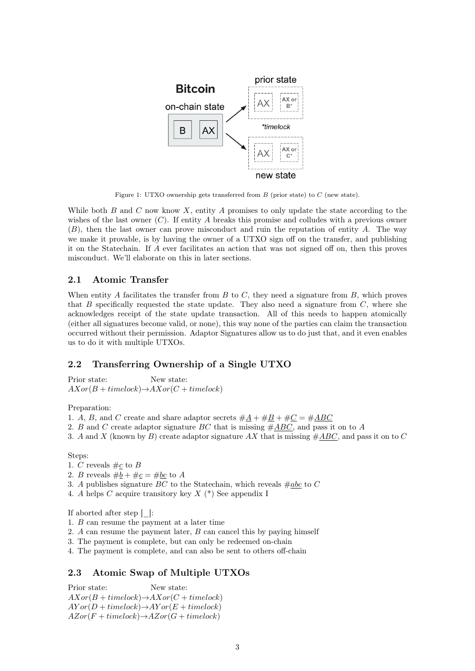

Figure 1: UTXO ownership gets transferred from  $B$  (prior state) to  $C$  (new state).

While both  $B$  and  $C$  now know  $X$ , entity  $A$  promises to only update the state according to the wishes of the last owner  $(C)$ . If entity A breaks this promise and colludes with a previous owner  $(B)$ , then the last owner can prove misconduct and ruin the reputation of entity A. The way we make it provable, is by having the owner of a UTXO sign off on the transfer, and publishing it on the Statechain. If A ever facilitates an action that was not signed off on, then this proves misconduct. We'll elaborate on this in later sections.

#### 2.1 Atomic Transfer

When entity A facilitates the transfer from  $B$  to  $C$ , they need a signature from  $B$ , which proves that  $B$  specifically requested the state update. They also need a signature from  $C$ , where she acknowledges receipt of the state update transaction. All of this needs to happen atomically (either all signatures become valid, or none), this way none of the parties can claim the transaction occurred without their permission. Adaptor Signatures allow us to do just that, and it even enables us to do it with multiple UTXOs.

### 2.2 Transferring Ownership of a Single UTXO

Prior state: New state:  $AXor(B + timelock) \rightarrow AXor(C + timelock)$ 

Preparation:

- 1. A, B, and C create and share adaptor secrets  $#A + #B + #C = #ABC$
- 2. B and C create adaptor signature BC that is missing  $\#ABC$ , and pass it on to A
- 3. A and X (known by B) create adaptor signature AX that is missing  $\#ABC$ , and pass it on to C

Steps:

- 1. C reveals  $\#_{\mathcal{L}}$  to B
- 2. *B* reveals  $\#b + \#c = \#bc$  to *A*
- 3. A publishes signature BC to the Statechain, which reveals  $\#abc$  to C
- 4. A helps C acquire transitory key X (\*) See appendix I

If aborted after step [\_]:

- 1. B can resume the payment at a later time
- 2. A can resume the payment later, B can cancel this by paying himself
- 3. The payment is complete, but can only be redeemed on-chain
- 4. The payment is complete, and can also be sent to others off-chain

#### 2.3 Atomic Swap of Multiple UTXOs

Prior state: New state:  $AXor(B + timelock) \rightarrow AXor(C + timelock)$  $AY or (D + timelock) \rightarrow A Y or (E + timelock)$  $AZor(F + timelock) \rightarrow AZor(G + timelock)$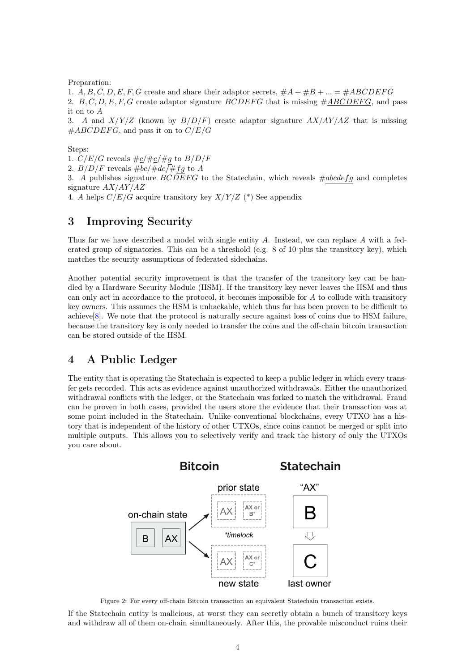Preparation:

1. A, B, C, D, E, F, G create and share their adaptor secrets,  $\#A + \#B + \dots = \# ABCDEFG$ 2.  $B, C, D, E, F, G$  create adaptor signature BCDEFG that is missing  $\#ABCDEFG$ , and pass it on to A

3. A and  $X/Y/Z$  (known by  $B/D/F$ ) create adaptor signature  $AX/AY/AZ$  that is missing  $\#ABCDEFG$ , and pass it on to  $C/E/G$ 

Steps:

1.  $C/E/G$  reveals  $\# \underline{c}/\#\underline{e}/\#\underline{g}$  to  $B/D/F$ 

2.  $B/D/F$  reveals  $\#bc/\#de\sqrt{\#fg}$  to A

3. A publishes signature  $BC\overline{DE}FG$  to the Statechain, which reveals  $\#abcdefg$  and completes signature  $AX/AY/AZ$ 

4. A helps  $C/E/G$  acquire transitory key  $X/Y/Z$  (\*) See appendix

# 3 Improving Security

Thus far we have described a model with single entity  $A$ . Instead, we can replace  $A$  with a federated group of signatories. This can be a threshold (e.g.  $8$  of 10 plus the transitory key), which matches the security assumptions of federated sidechains.

Another potential security improvement is that the transfer of the transitory key can be handled by a Hardware Security Module (HSM). If the transitory key never leaves the HSM and thus can only act in accordance to the protocol, it becomes impossible for A to collude with transitory key owners. This assumes the HSM is unhackable, which thus far has been proven to be difficult to achieve $|8|$ . We note that the protocol is naturally secure against loss of coins due to HSM failure, because the transitory key is only needed to transfer the coins and the off-chain bitcoin transaction can be stored outside of the HSM.

# 4 A Public Ledger

The entity that is operating the Statechain is expected to keep a public ledger in which every transfer gets recorded. This acts as evidence against unauthorized withdrawals. Either the unauthorized withdrawal conflicts with the ledger, or the Statechain was forked to match the withdrawal. Fraud can be proven in both cases, provided the users store the evidence that their transaction was at some point included in the Statechain. Unlike conventional blockchains, every UTXO has a history that is independent of the history of other UTXOs, since coins cannot be merged or split into multiple outputs. This allows you to selectively verify and track the history of only the UTXOs you care about.



Figure 2: For every off-chain Bitcoin transaction an equivalent Statechain transaction exists.

If the Statechain entity is malicious, at worst they can secretly obtain a bunch of transitory keys and withdraw all of them on-chain simultaneously. After this, the provable misconduct ruins their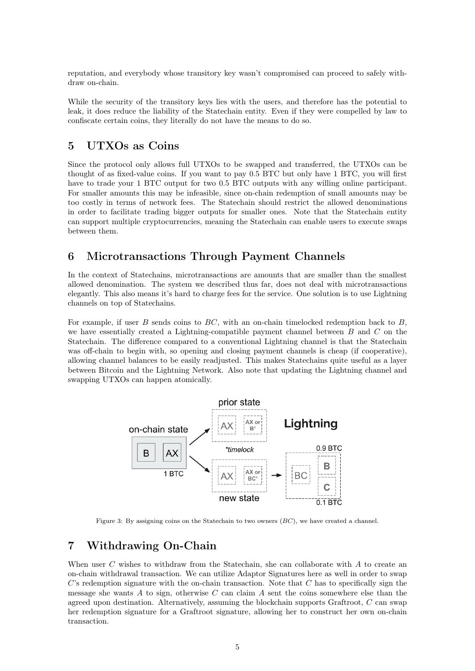reputation, and everybody whose transitory key wasn't compromised can proceed to safely withdraw on-chain.

While the security of the transitory keys lies with the users, and therefore has the potential to leak, it does reduce the liability of the Statechain entity. Even if they were compelled by law to confiscate certain coins, they literally do not have the means to do so.

# 5 UTXOs as Coins

Since the protocol only allows full UTXOs to be swapped and transferred, the UTXOs can be thought of as fixed-value coins. If you want to pay 0.5 BTC but only have 1 BTC, you will first have to trade your 1 BTC output for two 0.5 BTC outputs with any willing online participant. For smaller amounts this may be infeasible, since on-chain redemption of small amounts may be too costly in terms of network fees. The Statechain should restrict the allowed denominations in order to facilitate trading bigger outputs for smaller ones. Note that the Statechain entity can support multiple cryptocurrencies, meaning the Statechain can enable users to execute swaps between them.

# 6 Microtransactions Through Payment Channels

In the context of Statechains, microtransactions are amounts that are smaller than the smallest allowed denomination. The system we described thus far, does not deal with microtransactions elegantly. This also means it's hard to charge fees for the service. One solution is to use Lightning channels on top of Statechains.

For example, if user B sends coins to  $BC$ , with an on-chain timelocked redemption back to  $B$ , we have essentially created a Lightning-compatible payment channel between  $B$  and  $C$  on the Statechain. The difference compared to a conventional Lightning channel is that the Statechain was off-chain to begin with, so opening and closing payment channels is cheap (if cooperative), allowing channel balances to be easily readjusted. This makes Statechains quite useful as a layer between Bitcoin and the Lightning Network. Also note that updating the Lightning channel and swapping UTXOs can happen atomically.



Figure 3: By assigning coins on the Statechain to two owners  $(BC)$ , we have created a channel.

# 7 Withdrawing On-Chain

When user  $C$  wishes to withdraw from the Statechain, she can collaborate with  $A$  to create an on-chain withdrawal transaction. We can utilize Adaptor Signatures here as well in order to swap  $C$ 's redemption signature with the on-chain transaction. Note that  $C$  has to specifically sign the message she wants  $A$  to sign, otherwise  $C$  can claim  $A$  sent the coins somewhere else than the agreed upon destination. Alternatively, assuming the blockchain supports Graftroot,  $C$  can swap her redemption signature for a Graftroot signature, allowing her to construct her own on-chain transaction.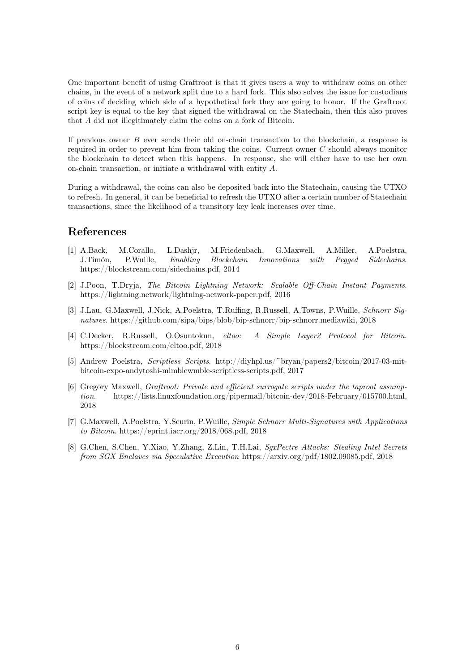One important benefit of using Graftroot is that it gives users a way to withdraw coins on other chains, in the event of a network split due to a hard fork. This also solves the issue for custodians of coins of deciding which side of a hypothetical fork they are going to honor. If the Graftroot script key is equal to the key that signed the withdrawal on the Statechain, then this also proves that A did not illegitimately claim the coins on a fork of Bitcoin.

If previous owner B ever sends their old on-chain transaction to the blockchain, a response is required in order to prevent him from taking the coins. Current owner  $C$  should always monitor the blockchain to detect when this happens. In response, she will either have to use her own on-chain transaction, or initiate a withdrawal with entity A.

During a withdrawal, the coins can also be deposited back into the Statechain, causing the UTXO to refresh. In general, it can be beneficial to refresh the UTXO after a certain number of Statechain transactions, since the likelihood of a transitory key leak increases over time.

## References

- <span id="page-5-0"></span>[1] A.Back, M.Corallo, L.Dashjr, M.Friedenbach, G.Maxwell, A.Miller, A.Poelstra, J.Timón, P.Wuille, Enabling Blockchain Innovations with Pegged Sidechains. https://blockstream.com/sidechains.pdf, 2014
- <span id="page-5-1"></span>[2] J.Poon, T.Dryja, The Bitcoin Lightning Network: Scalable Off-Chain Instant Payments. https://lightning.network/lightning-network-paper.pdf, 2016
- <span id="page-5-2"></span>[3] J.Lau, G.Maxwell, J.Nick, A.Poelstra, T.Ruffing, R.Russell, A.Towns, P.Wuille, Schnorr Signatures. https://github.com/sipa/bips/blob/bip-schnorr/bip-schnorr.mediawiki, 2018
- <span id="page-5-3"></span>[4] C.Decker, R.Russell, O.Osuntokun, eltoo: A Simple Layer2 Protocol for Bitcoin. https://blockstream.com/eltoo.pdf, 2018
- <span id="page-5-4"></span>[5] Andrew Poelstra, Scriptless Scripts. http://diyhpl.us/~bryan/papers2/bitcoin/2017-03-mitbitcoin-expo-andytoshi-mimblewmble-scriptless-scripts.pdf, 2017
- <span id="page-5-5"></span>[6] Gregory Maxwell, Graftroot: Private and efficient surrogate scripts under the taproot assumption. https://lists.linuxfoundation.org/pipermail/bitcoin-dev/2018-February/015700.html, 2018
- <span id="page-5-6"></span>[7] G.Maxwell, A.Poelstra, Y.Seurin, P.Wuille, Simple Schnorr Multi-Signatures with Applications to Bitcoin. https://eprint.iacr.org/2018/068.pdf, 2018
- <span id="page-5-7"></span>[8] G.Chen, S.Chen, Y.Xiao, Y.Zhang, Z.Lin, T.H.Lai, SgxPectre Attacks: Stealing Intel Secrets from SGX Enclaves via Speculative Execution https://arxiv.org/pdf/1802.09085.pdf, 2018